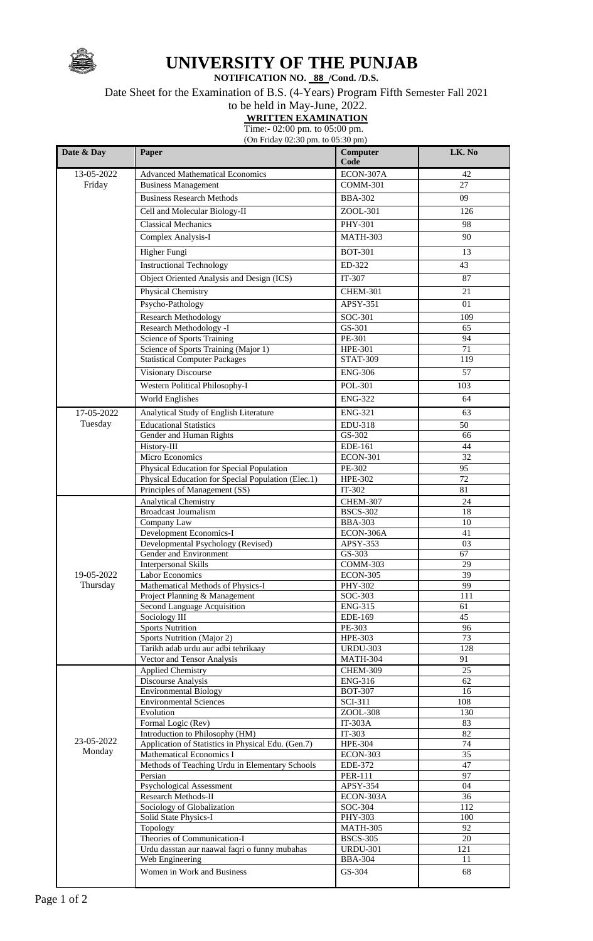

## **UNIVERSITY OF THE PUNJAB**

**NOTIFICATION NO. 88 /Cond. /D.S.**

Date Sheet for the Examination of B.S. (4-Years) Program Fifth Semester Fall 2021

## to be held in May-June, 2022.

**WRITTEN EXAMINATION**

Time:- 02:00 pm. to 05:00 pm. (On Friday 02:30 pm. to 05:30 pm)

| Date & Day | Paper                                                        | Computer<br>Code                  | LK. No          |
|------------|--------------------------------------------------------------|-----------------------------------|-----------------|
| 13-05-2022 | <b>Advanced Mathematical Economics</b>                       | ECON-307A                         | 42              |
| Friday     | <b>Business Management</b>                                   | <b>COMM-301</b>                   | 27              |
|            | <b>Business Research Methods</b>                             | <b>BBA-302</b>                    | 09              |
|            | Cell and Molecular Biology-II                                | ZOOL-301                          | 126             |
|            | <b>Classical Mechanics</b>                                   | PHY-301                           |                 |
|            |                                                              |                                   | 98              |
|            | Complex Analysis-I                                           | <b>MATH-303</b>                   | 90              |
|            | Higher Fungi                                                 | <b>BOT-301</b>                    | 13              |
|            | <b>Instructional Technology</b>                              | ED-322                            | 43              |
|            | Object Oriented Analysis and Design (ICS)                    | IT-307                            | 87              |
|            | Physical Chemistry                                           | <b>CHEM-301</b>                   | 21              |
|            | Psycho-Pathology                                             | APSY-351                          | 01              |
|            | <b>Research Methodology</b>                                  | SOC-301                           | 109             |
|            | Research Methodology -I                                      | GS-301                            | 65              |
|            | Science of Sports Training                                   | PE-301                            | 94              |
|            | Science of Sports Training (Major 1)                         | <b>HPE-301</b>                    | 71              |
|            | <b>Statistical Computer Packages</b>                         | <b>STAT-309</b>                   | 119             |
|            | <b>Visionary Discourse</b>                                   | <b>ENG-306</b>                    | 57              |
|            | <b>Western Political Philosophy-I</b>                        | POL-301                           | 103             |
|            | <b>World Englishes</b>                                       | <b>ENG-322</b>                    | 64              |
| 17-05-2022 | Analytical Study of English Literature                       | <b>ENG-321</b>                    | 63              |
| Tuesday    | <b>Educational Statistics</b>                                | EDU-318                           | 50              |
|            | Gender and Human Rights                                      | GS-302                            | 66              |
|            | History-III                                                  | EDE-161                           | 44              |
|            | Micro Economics                                              | <b>ECON-301</b>                   | $\overline{32}$ |
|            | Physical Education for Special Population                    | PE-302                            | 95              |
|            | Physical Education for Special Population (Elec.1)           | <b>HPE-302</b>                    | 72              |
|            | Principles of Management (SS)                                | IT-302                            | $81\,$          |
|            | <b>Analytical Chemistry</b><br><b>Broadcast Journalism</b>   | <b>CHEM-307</b>                   | 24              |
|            | Company Law                                                  | <b>BSCS-302</b><br><b>BBA-303</b> | 18<br>$10\,$    |
|            | Development Economics-I                                      | ECON-306A                         | 41              |
|            | Developmental Psychology (Revised)                           | APSY-353                          | 03              |
|            | Gender and Environment                                       | GS-303                            | 67              |
|            | <b>Interpersonal Skills</b>                                  | COMM-303                          | 29              |
| 19-05-2022 | <b>Labor Economics</b>                                       | <b>ECON-305</b>                   | 39              |
| Thursday   | Mathematical Methods of Physics-I                            | PHY-302                           | 99              |
|            | Project Planning & Management<br>Second Language Acquisition | SOC-303<br><b>ENG-315</b>         | 111<br>61       |
|            | Sociology III                                                | EDE-169                           | 45              |
|            | <b>Sports Nutrition</b>                                      | PE-303                            | 96              |
|            | Sports Nutrition (Major 2)                                   | HPE-303                           | 73              |
|            | Tarikh adab urdu aur adbi tehrikaay                          | <b>URDU-303</b>                   | 128             |
|            | Vector and Tensor Analysis                                   | <b>MATH-304</b>                   | 91              |
|            | <b>Applied Chemistry</b>                                     | CHEM-309                          | 25              |
|            | Discourse Analysis                                           | <b>ENG-316</b>                    | 62              |
|            | <b>Environmental Biology</b>                                 | <b>BOT-307</b>                    | 16              |
|            | <b>Environmental Sciences</b><br>Evolution                   | SCI-311<br>ZOOL-308               | 108<br>130      |
|            | Formal Logic (Rev)                                           | IT-303A                           | 83              |
|            | Introduction to Philosophy (HM)                              | IT-303                            | 82              |
| 23-05-2022 | Application of Statistics in Physical Edu. (Gen.7)           | <b>HPE-304</b>                    | 74              |
| Monday     | Mathematical Economics I                                     | <b>ECON-303</b>                   | $\overline{35}$ |
|            | Methods of Teaching Urdu in Elementary Schools               | EDE-372                           | 47              |
|            | Persian                                                      | <b>PER-111</b>                    | $\overline{97}$ |
|            | Psychological Assessment<br>Research Methods-II              | APSY-354                          | 04<br>36        |
|            | Sociology of Globalization                                   | ECON-303A<br>SOC-304              | 112             |
|            | Solid State Physics-I                                        | <b>PHY-303</b>                    | 100             |
|            | Topology                                                     | <b>MATH-305</b>                   | 92              |
|            | Theories of Communication-I                                  | <b>BSCS-305</b>                   | 20              |
|            | Urdu dasstan aur naawal faqri o funny mubahas                | <b>URDU-301</b>                   | 121             |
|            | Web Engineering                                              | <b>BBA-304</b>                    | 11              |
|            | Women in Work and Business                                   | GS-304                            | 68              |
|            |                                                              |                                   |                 |